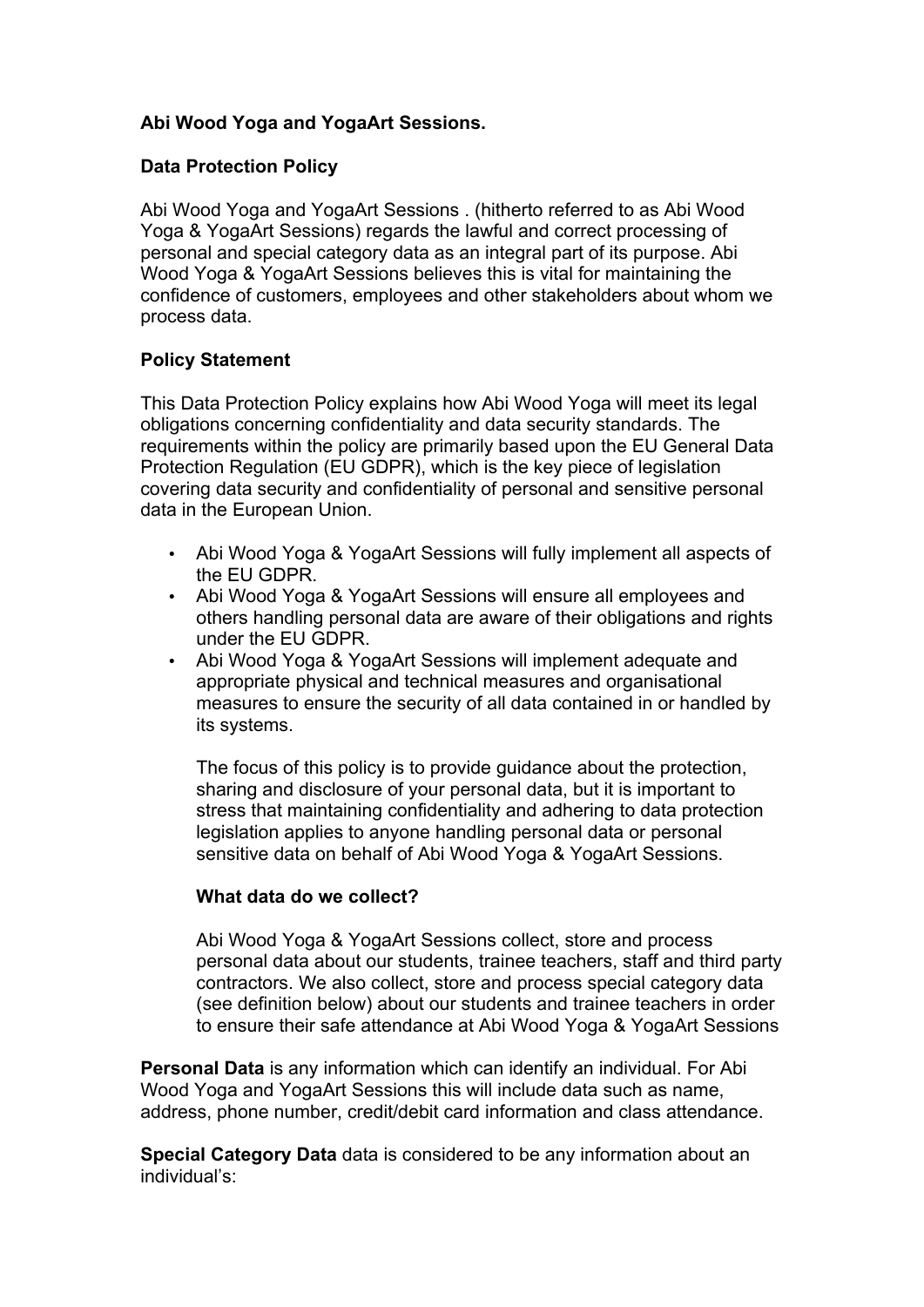# **Abi Wood Yoga and YogaArt Sessions.**

## **Data Protection Policy**

Abi Wood Yoga and YogaArt Sessions . (hitherto referred to as Abi Wood Yoga & YogaArt Sessions) regards the lawful and correct processing of personal and special category data as an integral part of its purpose. Abi Wood Yoga & YogaArt Sessions believes this is vital for maintaining the confidence of customers, employees and other stakeholders about whom we process data.

### **Policy Statement**

This Data Protection Policy explains how Abi Wood Yoga will meet its legal obligations concerning confidentiality and data security standards. The requirements within the policy are primarily based upon the EU General Data Protection Regulation (EU GDPR), which is the key piece of legislation covering data security and confidentiality of personal and sensitive personal data in the European Union.

- Abi Wood Yoga & YogaArt Sessions will fully implement all aspects of the EU GDPR.
- Abi Wood Yoga & YogaArt Sessions will ensure all employees and others handling personal data are aware of their obligations and rights under the EU GDPR.
- Abi Wood Yoga & YogaArt Sessions will implement adequate and appropriate physical and technical measures and organisational measures to ensure the security of all data contained in or handled by its systems.

The focus of this policy is to provide guidance about the protection, sharing and disclosure of your personal data, but it is important to stress that maintaining confidentiality and adhering to data protection legislation applies to anyone handling personal data or personal sensitive data on behalf of Abi Wood Yoga & YogaArt Sessions.

# **What data do we collect?**

Abi Wood Yoga & YogaArt Sessions collect, store and process personal data about our students, trainee teachers, staff and third party contractors. We also collect, store and process special category data (see definition below) about our students and trainee teachers in order to ensure their safe attendance at Abi Wood Yoga & YogaArt Sessions

**Personal Data** is any information which can identify an individual. For Abi Wood Yoga and YogaArt Sessions this will include data such as name, address, phone number, credit/debit card information and class attendance.

**Special Category Data** data is considered to be any information about an individual's: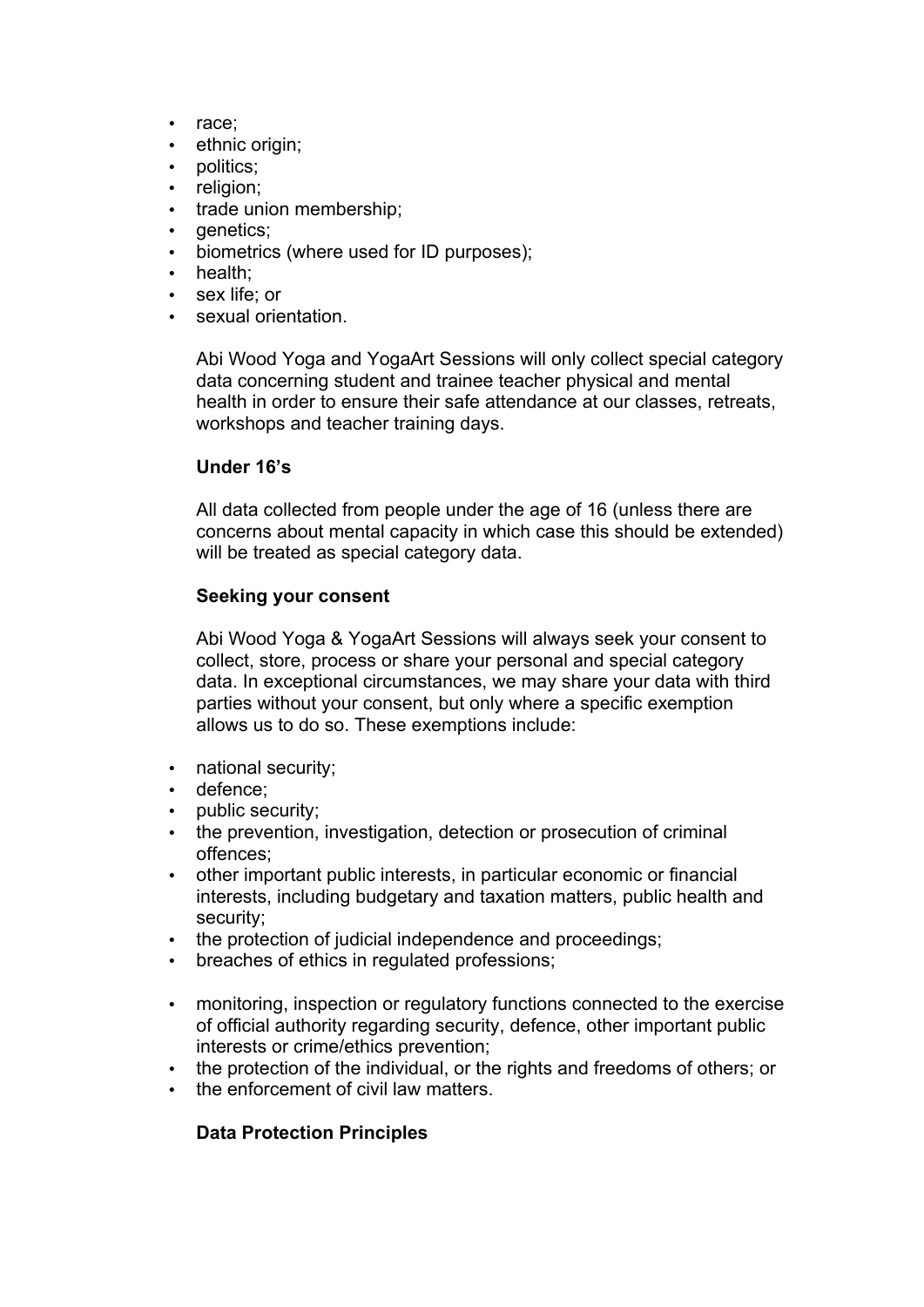- race;
- ethnic origin;
- politics:
- religion;
- trade union membership;
- genetics:
- biometrics (where used for ID purposes);
- health;
- sex life; or
- sexual orientation.

Abi Wood Yoga and YogaArt Sessions will only collect special category data concerning student and trainee teacher physical and mental health in order to ensure their safe attendance at our classes, retreats, workshops and teacher training days.

### **Under 16's**

All data collected from people under the age of 16 (unless there are concerns about mental capacity in which case this should be extended) will be treated as special category data.

### **Seeking your consent**

Abi Wood Yoga & YogaArt Sessions will always seek your consent to collect, store, process or share your personal and special category data. In exceptional circumstances, we may share your data with third parties without your consent, but only where a specific exemption allows us to do so. These exemptions include:

- national security;
- defence;
- public security:
- the prevention, investigation, detection or prosecution of criminal offences;
- other important public interests, in particular economic or financial interests, including budgetary and taxation matters, public health and security;
- the protection of judicial independence and proceedings;
- breaches of ethics in regulated professions;
- monitoring, inspection or regulatory functions connected to the exercise of official authority regarding security, defence, other important public interests or crime/ethics prevention;
- the protection of the individual, or the rights and freedoms of others; or
- the enforcement of civil law matters.

# **Data Protection Principles**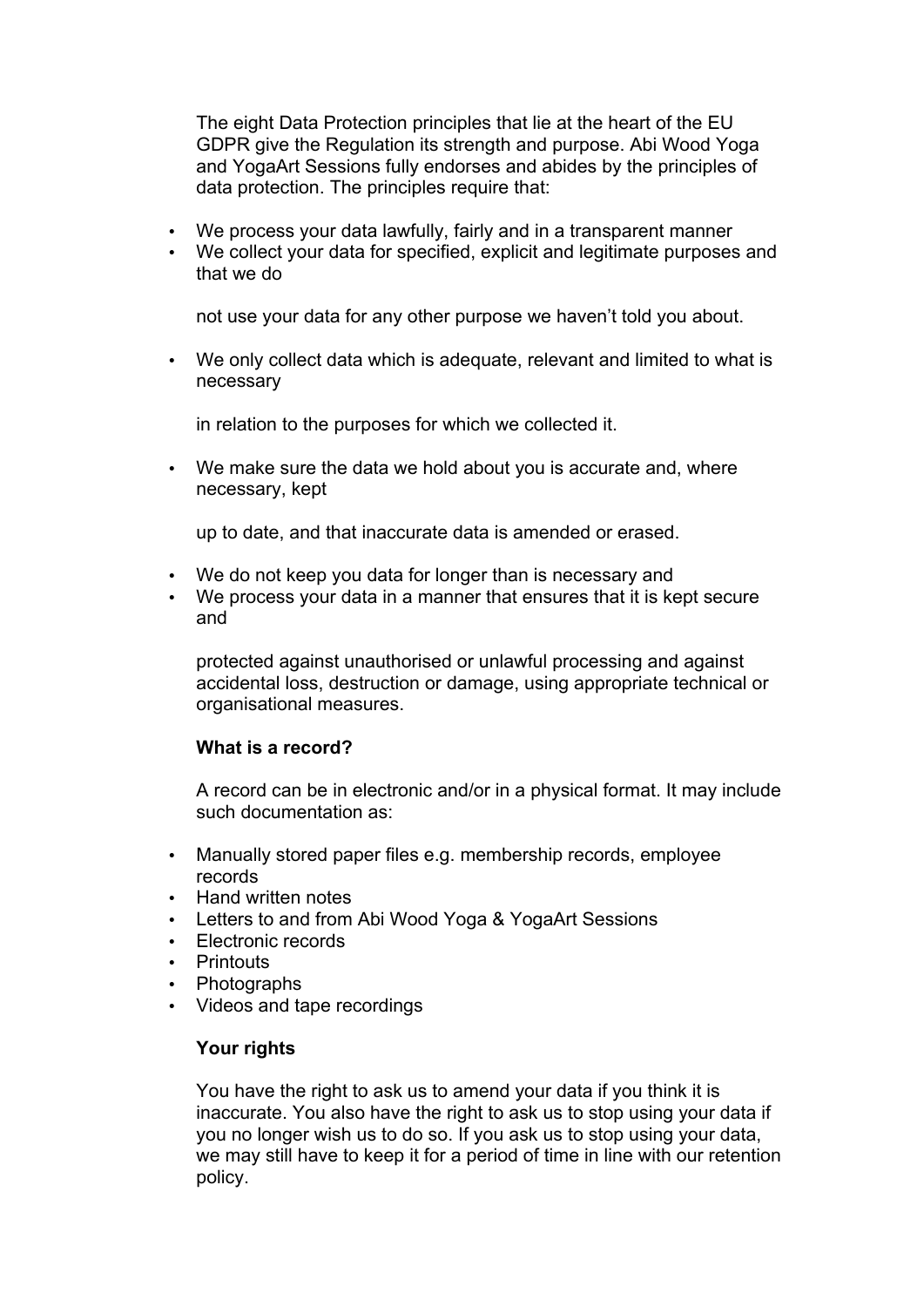The eight Data Protection principles that lie at the heart of the EU GDPR give the Regulation its strength and purpose. Abi Wood Yoga and YogaArt Sessions fully endorses and abides by the principles of data protection. The principles require that:

- We process your data lawfully, fairly and in a transparent manner
- We collect your data for specified, explicit and legitimate purposes and that we do

not use your data for any other purpose we haven't told you about.

• We only collect data which is adequate, relevant and limited to what is necessary

in relation to the purposes for which we collected it.

• We make sure the data we hold about you is accurate and, where necessary, kept

up to date, and that inaccurate data is amended or erased.

- We do not keep you data for longer than is necessary and
- We process your data in a manner that ensures that it is kept secure and

protected against unauthorised or unlawful processing and against accidental loss, destruction or damage, using appropriate technical or organisational measures.

### **What is a record?**

A record can be in electronic and/or in a physical format. It may include such documentation as:

- Manually stored paper files e.g. membership records, employee records
- Hand written notes
- Letters to and from Abi Wood Yoga & YogaArt Sessions
- Electronic records
- Printouts
- Photographs
- Videos and tape recordings

### **Your rights**

You have the right to ask us to amend your data if you think it is inaccurate. You also have the right to ask us to stop using your data if you no longer wish us to do so. If you ask us to stop using your data, we may still have to keep it for a period of time in line with our retention policy.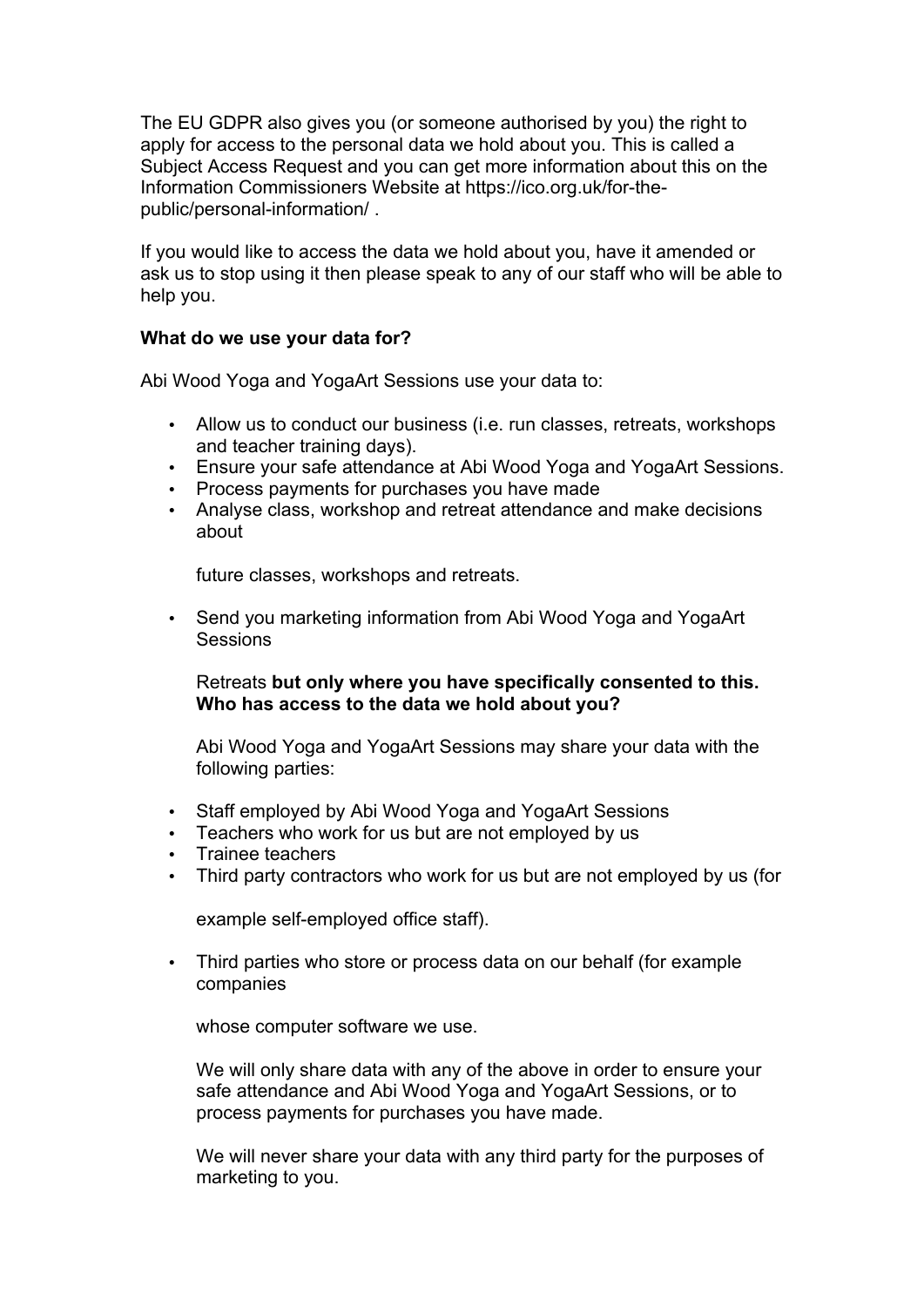The EU GDPR also gives you (or someone authorised by you) the right to apply for access to the personal data we hold about you. This is called a Subject Access Request and you can get more information about this on the Information Commissioners Website at https://ico.org.uk/for-thepublic/personal-information/ .

If you would like to access the data we hold about you, have it amended or ask us to stop using it then please speak to any of our staff who will be able to help you.

### **What do we use your data for?**

Abi Wood Yoga and YogaArt Sessions use your data to:

- Allow us to conduct our business (i.e. run classes, retreats, workshops and teacher training days).
- Ensure your safe attendance at Abi Wood Yoga and YogaArt Sessions.
- Process payments for purchases you have made
- Analyse class, workshop and retreat attendance and make decisions about

future classes, workshops and retreats.

• Send you marketing information from Abi Wood Yoga and YogaArt **Sessions** 

#### Retreats **but only where you have specifically consented to this. Who has access to the data we hold about you?**

Abi Wood Yoga and YogaArt Sessions may share your data with the following parties:

- Staff employed by Abi Wood Yoga and YogaArt Sessions
- Teachers who work for us but are not employed by us
- Trainee teachers
- Third party contractors who work for us but are not employed by us (for

example self-employed office staff).

• Third parties who store or process data on our behalf (for example companies

whose computer software we use.

We will only share data with any of the above in order to ensure your safe attendance and Abi Wood Yoga and YogaArt Sessions, or to process payments for purchases you have made.

We will never share your data with any third party for the purposes of marketing to you.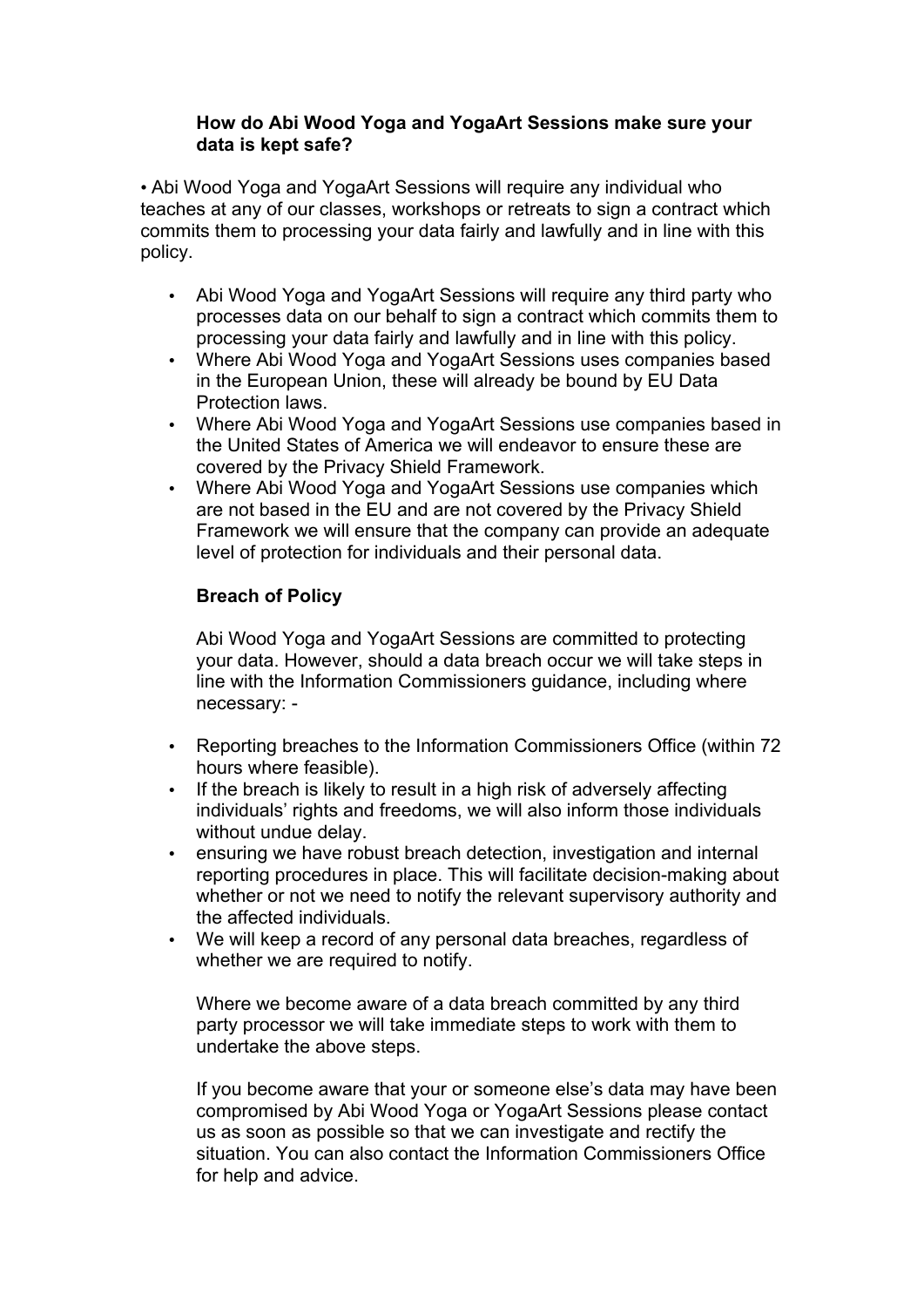### **How do Abi Wood Yoga and YogaArt Sessions make sure your data is kept safe?**

• Abi Wood Yoga and YogaArt Sessions will require any individual who teaches at any of our classes, workshops or retreats to sign a contract which commits them to processing your data fairly and lawfully and in line with this policy.

- Abi Wood Yoga and YogaArt Sessions will require any third party who processes data on our behalf to sign a contract which commits them to processing your data fairly and lawfully and in line with this policy.
- Where Abi Wood Yoga and YogaArt Sessions uses companies based in the European Union, these will already be bound by EU Data Protection laws.
- Where Abi Wood Yoga and YogaArt Sessions use companies based in the United States of America we will endeavor to ensure these are covered by the Privacy Shield Framework.
- Where Abi Wood Yoga and YogaArt Sessions use companies which are not based in the EU and are not covered by the Privacy Shield Framework we will ensure that the company can provide an adequate level of protection for individuals and their personal data.

# **Breach of Policy**

Abi Wood Yoga and YogaArt Sessions are committed to protecting your data. However, should a data breach occur we will take steps in line with the Information Commissioners guidance, including where necessary: -

- Reporting breaches to the Information Commissioners Office (within 72 hours where feasible).
- If the breach is likely to result in a high risk of adversely affecting individuals' rights and freedoms, we will also inform those individuals without undue delay.
- ensuring we have robust breach detection, investigation and internal reporting procedures in place. This will facilitate decision-making about whether or not we need to notify the relevant supervisory authority and the affected individuals.
- We will keep a record of any personal data breaches, regardless of whether we are required to notify.

Where we become aware of a data breach committed by any third party processor we will take immediate steps to work with them to undertake the above steps.

If you become aware that your or someone else's data may have been compromised by Abi Wood Yoga or YogaArt Sessions please contact us as soon as possible so that we can investigate and rectify the situation. You can also contact the Information Commissioners Office for help and advice.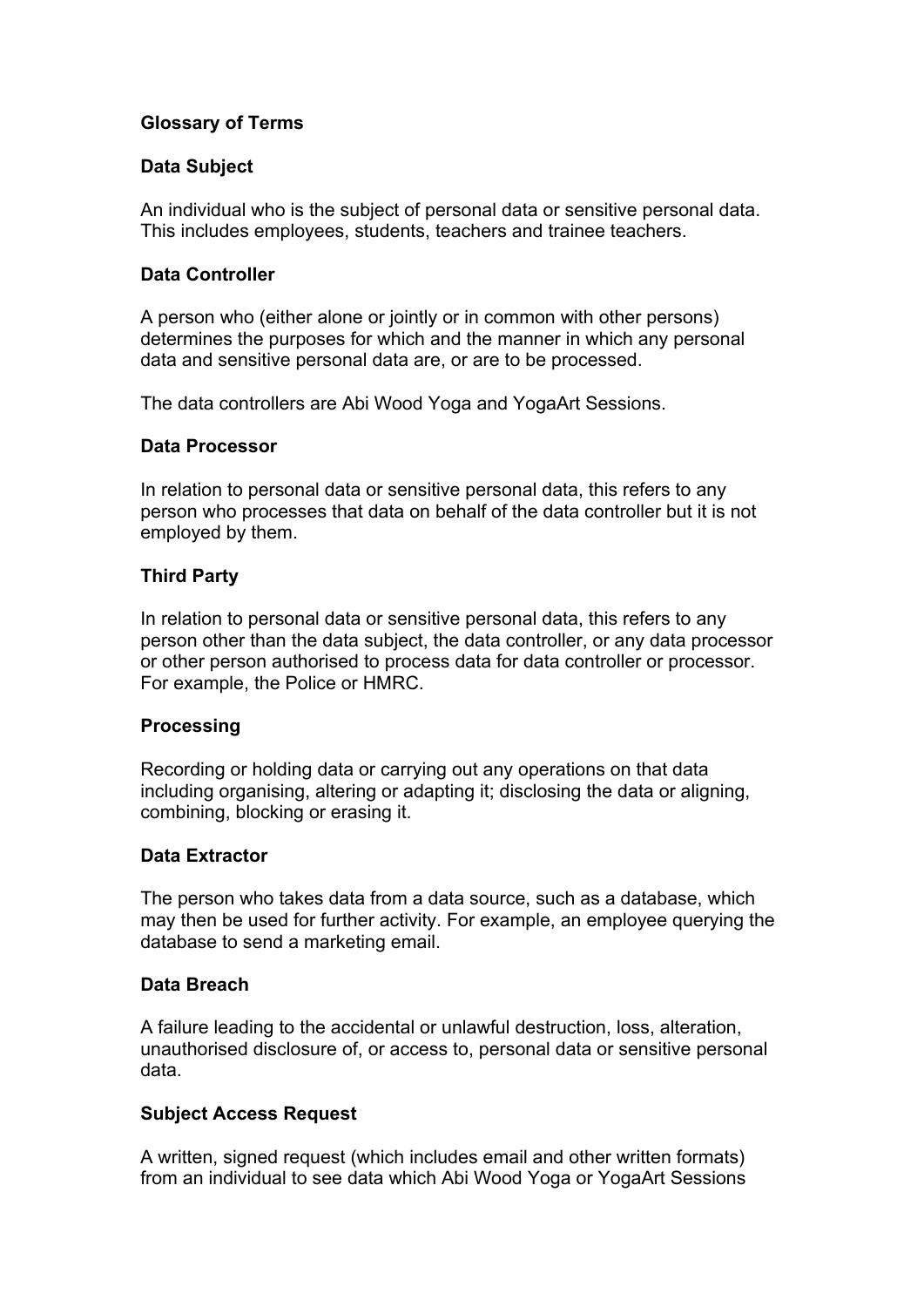# **Glossary of Terms**

## **Data Subject**

An individual who is the subject of personal data or sensitive personal data. This includes employees, students, teachers and trainee teachers.

### **Data Controller**

A person who (either alone or jointly or in common with other persons) determines the purposes for which and the manner in which any personal data and sensitive personal data are, or are to be processed.

The data controllers are Abi Wood Yoga and YogaArt Sessions.

#### **Data Processor**

In relation to personal data or sensitive personal data, this refers to any person who processes that data on behalf of the data controller but it is not employed by them.

### **Third Party**

In relation to personal data or sensitive personal data, this refers to any person other than the data subject, the data controller, or any data processor or other person authorised to process data for data controller or processor. For example, the Police or HMRC.

### **Processing**

Recording or holding data or carrying out any operations on that data including organising, altering or adapting it; disclosing the data or aligning, combining, blocking or erasing it.

### **Data Extractor**

The person who takes data from a data source, such as a database, which may then be used for further activity. For example, an employee querying the database to send a marketing email.

### **Data Breach**

A failure leading to the accidental or unlawful destruction, loss, alteration, unauthorised disclosure of, or access to, personal data or sensitive personal data.

### **Subject Access Request**

A written, signed request (which includes email and other written formats) from an individual to see data which Abi Wood Yoga or YogaArt Sessions